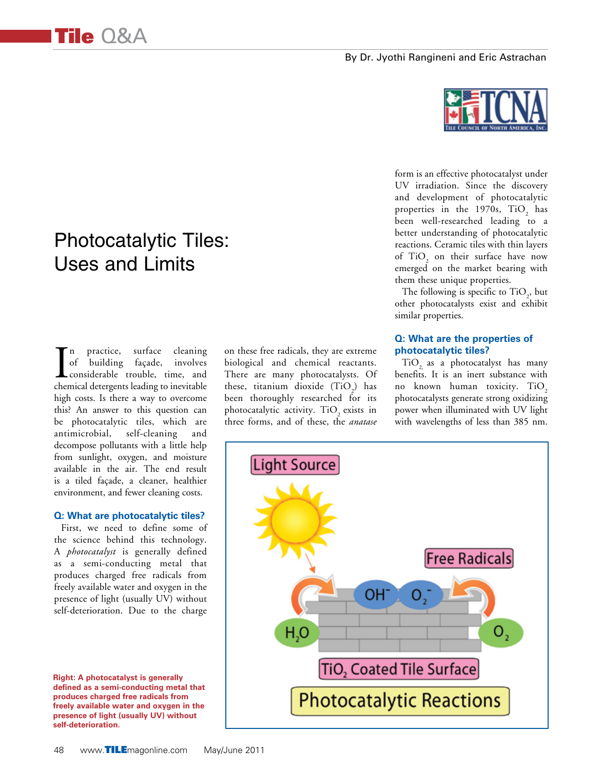

Tile Q&A

In practice, surface cleaning<br>of building façade, involves<br>considerable trouble, time, and<br>chemical detergents leading to inevitable n practice, surface cleaning of building façade, involves considerable trouble, time, and high costs. Is there a way to overcome this? An answer to this question can be photocatalytic tiles, which are antimicrobial, self-cleaning and decompose pollutants with a little help from sunlight, oxygen, and moisture available in the air. The end result is a tiled façade, a cleaner, healthier environment, and fewer cleaning costs.

#### **Q: What are photocatalytic tiles?**

First, we need to define some of the science behind this technology. A *photocatalyst* is generally defined as a semi-conducting metal that produces charged free radicals from freely available water and oxygen in the presence of light (usually UV) without self-deterioration. Due to the charge

**Right: A photocatalyst is generally defined as a semi-conducting metal that produces charged free radicals from freely available water and oxygen in the presence of light (usually UV) without self-deterioration.**

on these free radicals, they are extreme biological and chemical reactants. There are many photocatalysts. Of these, titanium dioxide  $(TiO_2)$  has been thoroughly researched for its photocatalytic activity. TiO<sub>2</sub> exists in three forms, and of these, the *anatase*



form is an effective photocatalyst under UV irradiation. Since the discovery and development of photocatalytic properties in the 1970s,  $TiO_2$  has been well-researched leading to a better understanding of photocatalytic reactions. Ceramic tiles with thin layers of  $TiO<sub>2</sub>$  on their surface have now emerged on the market bearing with them these unique properties.

The following is specific to  $TiO<sub>2</sub>$ , but other photocatalysts exist and exhibit similar properties.

#### **Q: What are the properties of photocatalytic tiles?**

TiO<sub>2</sub> as a photocatalyst has many benefits. It is an inert substance with no known human toxicity. TiO<sub>2</sub> photocatalysts generate strong oxidizing power when illuminated with UV light with wavelengths of less than 385 nm.

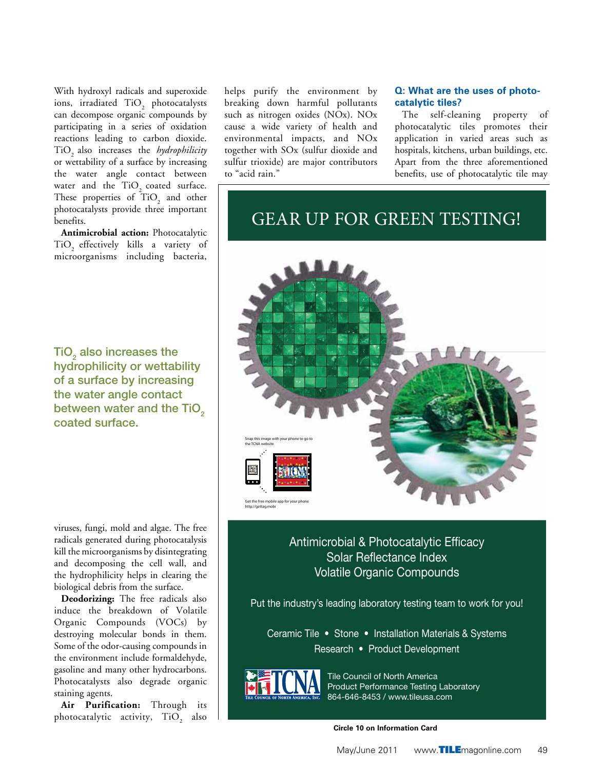With hydroxyl radicals and superoxide ions, irradiated  $TiO_2$  photocatalysts can decompose organic compounds by participating in a series of oxidation reactions leading to carbon dioxide. TiO<sub>2</sub> also increases the *hydrophilicity* or wettability of a surface by increasing the water angle contact between water and the  $TiO<sub>2</sub>$  coated surface. These properties of  $TiO<sub>2</sub>$  and other photocatalysts provide three important benefits.

**Antimicrobial action:** Photocatalytic TiO<sub>2</sub> effectively kills a variety of microorganisms including bacteria,

TiO<sub>2</sub> also increases the hydrophilicity or wettability of a surface by increasing the water angle contact between water and the TiO<sub>2</sub> coated surface.

helps purify the environment by breaking down harmful pollutants such as nitrogen oxides (NOx). NOx cause a wide variety of health and environmental impacts, and NOx together with SOx (sulfur dioxide and sulfur trioxide) are major contributors to "acid rain."

## **Q: What are the uses of photocatalytic tiles?**

The self-cleaning property of photocatalytic tiles promotes their application in varied areas such as hospitals, kitchens, urban buildings, etc. Apart from the three aforementioned benefits, use of photocatalytic tile may

# GEAR UP FOR GREEN TESTING!



viruses, fungi, mold and algae. The free radicals generated during photocatalysis kill the microorganisms by disintegrating and decomposing the cell wall, and the hydrophilicity helps in clearing the biological debris from the surface.

**Deodorizing:** The free radicals also induce the breakdown of Volatile Organic Compounds (VOCs) by destroying molecular bonds in them. Some of the odor-causing compounds in the environment include formaldehyde, gasoline and many other hydrocarbons. Photocatalysts also degrade organic staining agents.

**Air Purification:** Through its photocatalytic activity,  $TiO_2$  also Antimicrobial & Photocatalytic Efficacy Solar Reflectance Index Volatile Organic Compounds

Put the industry's leading laboratory testing team to work for you!

Ceramic Tile • Stone • Installation Materials & Systems Research • Product Development



Tile Council of North America Product Performance Testing Laboratory 864-646-8453 / www.tileusa.com

**Circle 10 on Information Card**